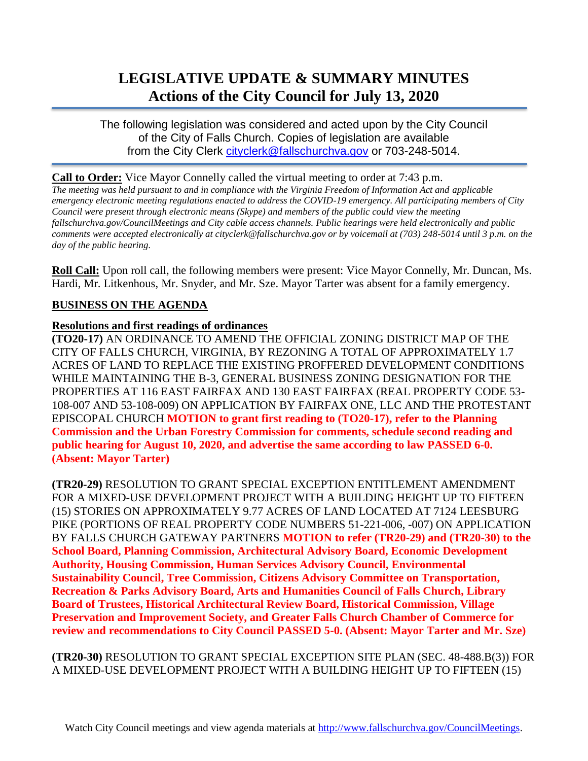# **LEGISLATIVE UPDATE & SUMMARY MINUTES Actions of the City Council for July 13, 2020**

The following legislation was considered and acted upon by the City Council of the City of Falls Church. Copies of legislation are available from the City Clerk [cityclerk@fallschurchva.gov](mailto:cityclerk@fallschurchva.gov) or 703-248-5014.

#### **Call to Order:** Vice Mayor Connelly called the virtual meeting to order at 7:43 p.m.

*The meeting was held pursuant to and in compliance with the Virginia Freedom of Information Act and applicable emergency electronic meeting regulations enacted to address the COVID-19 emergency. All participating members of City Council were present through electronic means (Skype) and members of the public could view the meeting fallschurchva.gov/CouncilMeetings and City cable access channels. Public hearings were held electronically and public comments were accepted electronically at cityclerk@fallschurchva.gov or by voicemail at (703) 248-5014 until 3 p.m. on the day of the public hearing.*

**Roll Call:** Upon roll call, the following members were present: Vice Mayor Connelly, Mr. Duncan, Ms. Hardi, Mr. Litkenhous, Mr. Snyder, and Mr. Sze. Mayor Tarter was absent for a family emergency.

### **BUSINESS ON THE AGENDA**

#### **Resolutions and first readings of ordinances**

**(TO20-17)** AN ORDINANCE TO AMEND THE OFFICIAL ZONING DISTRICT MAP OF THE CITY OF FALLS CHURCH, VIRGINIA, BY REZONING A TOTAL OF APPROXIMATELY 1.7 ACRES OF LAND TO REPLACE THE EXISTING PROFFERED DEVELOPMENT CONDITIONS WHILE MAINTAINING THE B-3, GENERAL BUSINESS ZONING DESIGNATION FOR THE PROPERTIES AT 116 EAST FAIRFAX AND 130 EAST FAIRFAX (REAL PROPERTY CODE 53- 108-007 AND 53-108-009) ON APPLICATION BY FAIRFAX ONE, LLC AND THE PROTESTANT EPISCOPAL CHURCH **MOTION to grant first reading to (TO20-17), refer to the Planning Commission and the Urban Forestry Commission for comments, schedule second reading and public hearing for August 10, 2020, and advertise the same according to law PASSED 6-0. (Absent: Mayor Tarter)**

**(TR20-29)** RESOLUTION TO GRANT SPECIAL EXCEPTION ENTITLEMENT AMENDMENT FOR A MIXED-USE DEVELOPMENT PROJECT WITH A BUILDING HEIGHT UP TO FIFTEEN (15) STORIES ON APPROXIMATELY 9.77 ACRES OF LAND LOCATED AT 7124 LEESBURG PIKE (PORTIONS OF REAL PROPERTY CODE NUMBERS 51-221-006, -007) ON APPLICATION BY FALLS CHURCH GATEWAY PARTNERS **MOTION to refer (TR20-29) and (TR20-30) to the School Board, Planning Commission, Architectural Advisory Board, Economic Development Authority, Housing Commission, Human Services Advisory Council, Environmental Sustainability Council, Tree Commission, Citizens Advisory Committee on Transportation, Recreation & Parks Advisory Board, Arts and Humanities Council of Falls Church, Library Board of Trustees, Historical Architectural Review Board, Historical Commission, Village Preservation and Improvement Society, and Greater Falls Church Chamber of Commerce for review and recommendations to City Council PASSED 5-0. (Absent: Mayor Tarter and Mr. Sze)**

**(TR20-30)** RESOLUTION TO GRANT SPECIAL EXCEPTION SITE PLAN (SEC. 48-488.B(3)) FOR A MIXED-USE DEVELOPMENT PROJECT WITH A BUILDING HEIGHT UP TO FIFTEEN (15)